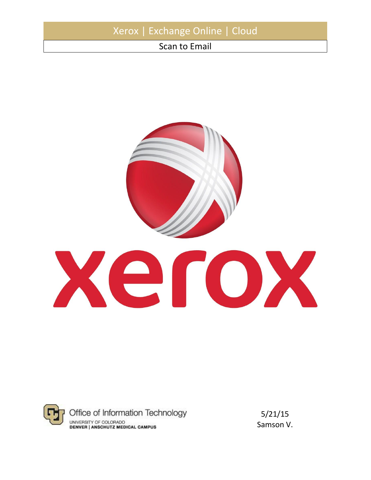|               | Xerox   Exchange Online   Cloud |  |
|---------------|---------------------------------|--|
| Scan to Email |                                 |  |





5/21/15 Samson V.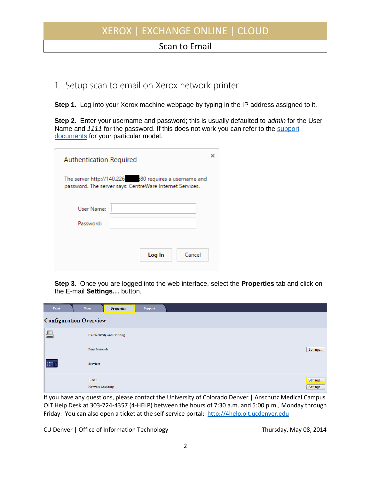## XEROX | EXCHANGE ONLINE | CLOUD

## Scan to Email

## 1. Setup scan to email on Xerox network printer

**Step 1.** Log into your Xerox machine webpage by typing in the IP address assigned to it.

**Step 2**. Enter your username and password; this is usually defaulted to *admin* for the User Name and *1111* for the password. If this does not work you can refer to the [support](http://www.support.xerox.com/support/enus.html)  [documents](http://www.support.xerox.com/support/enus.html) for your particular model.

| Authentication Required |                                                                                                                   |  |
|-------------------------|-------------------------------------------------------------------------------------------------------------------|--|
|                         | The server http://140.226 :80 requires a username and<br>password. The server says: CentreWare Internet Services. |  |
| User Name:              |                                                                                                                   |  |
| Password:               |                                                                                                                   |  |
|                         |                                                                                                                   |  |
|                         | Log In<br>Cancel                                                                                                  |  |
|                         |                                                                                                                   |  |

**Step 3**. Once you are logged into the web interface, select the **Properties** tab and click on the E-mail **Settings…** button.

| Print | <b>Scan</b>                   | <b>Properties</b>                | <b>Support</b> |          |
|-------|-------------------------------|----------------------------------|----------------|----------|
|       | <b>Configuration Overview</b> |                                  |                |          |
|       |                               | <b>Connectivity and Printing</b> |                |          |
|       | <b>Print Protocols</b>        |                                  |                | Settings |
| (#1)  | <b>Services</b>               |                                  |                |          |
|       | E-mail                        |                                  |                | Settings |
|       | Network Scanning              |                                  |                | Settings |

If you have any questions, please contact the University of Colorado Denver | Anschutz Medical Campus OIT Help Desk at 303-724-4357 (4-HELP) between the hours of 7:30 a.m. and 5:00 p.m., Monday through Friday. You can also open a ticket at the self-service portal: [http://4help.oit.ucdenver.edu](http://4help.oit.ucdenver.edu/)

CU Denver | Office of Information Technology Thursday, May 08, 2014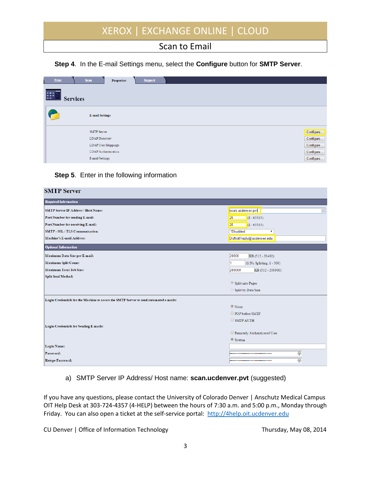# XEROX | EXCHANGE ONLINE | CLOUD

### Scan to Email

#### **Step 4**. In the E-mail Settings menu, select the **Configure** button for **SMTP Server**.

| Print<br><b>EXECUTE</b> | <b>Scan</b><br><b>Support</b><br><b>Properties</b> |           |
|-------------------------|----------------------------------------------------|-----------|
| <b>Services</b>         |                                                    |           |
| $\boxtimes$             | <b>E-mail Settings</b>                             |           |
|                         | <b>SMTP Server</b>                                 | Configure |
|                         | <b>LDAP</b> Directory                              | Configure |
|                         | <b>LDAP User Mappings</b>                          | Configure |
|                         | <b>LDAP</b> Authentication                         | Configure |
|                         | E-mail Settings                                    | Configure |

#### **Step 5**. Enter in the following information

| <b>SMTP Server</b>                                                                     |                             |  |  |  |
|----------------------------------------------------------------------------------------|-----------------------------|--|--|--|
| <b>Required Information</b>                                                            |                             |  |  |  |
| <b>SMTP Server IP Address / Host Name:</b>                                             | scan.ucdenver.pvt<br>回      |  |  |  |
| Port Number for sending E-mail:                                                        | $(1 - 65535)$<br>25         |  |  |  |
| Port Number for receiving E-mail:                                                      | 25<br>$(1 - 65535)$         |  |  |  |
| <b>SMTP - SSL / TLS Communication:</b>                                                 | *Disabled<br>▼              |  |  |  |
| <b>Machine's E-mail Address:</b>                                                       | DoNotReply@ucdenver.edu     |  |  |  |
| <b>Optional Information</b>                                                            |                             |  |  |  |
| Maximum Data Size per E-mail:                                                          | 20000<br>KB (512 - 20480)   |  |  |  |
| <b>Maximum Split Count:</b>                                                            | (1:No Splitting, 1 - 500)   |  |  |  |
| <b>Maximum Total Job Size:</b>                                                         | 200000<br>KB (512 - 200000) |  |  |  |
| <b>Split Send Method:</b>                                                              |                             |  |  |  |
|                                                                                        | Split into Pages            |  |  |  |
|                                                                                        | Split by Data Size          |  |  |  |
| Login Credentials for the Machine to access the SMTP Server to send automated e-mails: |                             |  |  |  |
|                                                                                        | $\circledcirc$ None         |  |  |  |
|                                                                                        | O POP before SMTP           |  |  |  |
|                                                                                        | $\circ$ SMTP AUTH           |  |  |  |
| Login Credentials for Sending E-mails:                                                 |                             |  |  |  |
|                                                                                        | Remotely Authenticated User |  |  |  |
|                                                                                        | System                      |  |  |  |
| <b>Login Name:</b>                                                                     |                             |  |  |  |
| Password:                                                                              | ⊕<br>                       |  |  |  |
| <b>Retype Password:</b>                                                                | ⊕<br>                       |  |  |  |

#### a) SMTP Server IP Address/ Host name: **scan.ucdenver.pvt** (suggested)

If you have any questions, please contact the University of Colorado Denver | Anschutz Medical Campus OIT Help Desk at 303-724-4357 (4-HELP) between the hours of 7:30 a.m. and 5:00 p.m., Monday through Friday. You can also open a ticket at the self-service portal: [http://4help.oit.ucdenver.edu](http://4help.oit.ucdenver.edu/)

CU Denver | Office of Information Technology **Thursday, May 08, 2014**